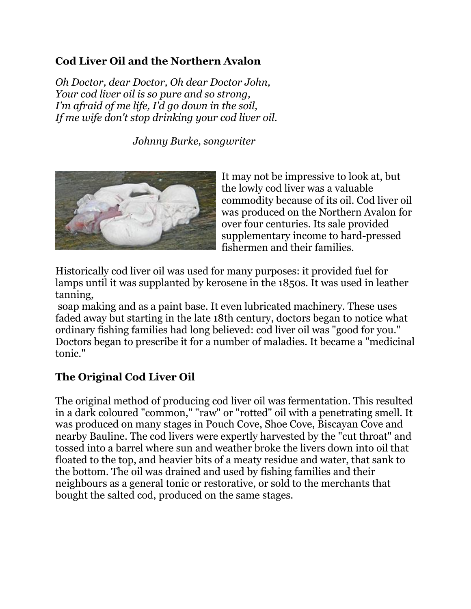## **Cod Liver Oil and the Northern Avalon**

*Oh Doctor, dear Doctor, Oh dear Doctor John, Your cod liver oil is so pure and so strong, I'm afraid of me life, I'd go down in the soil, If me wife don't stop drinking your cod liver oil.*

 *Johnny Burke, songwriter*



It may not be impressive to look at, but the lowly cod liver was a valuable commodity because of its oil. Cod liver oil was produced on the Northern Avalon for over four centuries. Its sale provided supplementary income to hard-pressed fishermen and their families.

Historically cod liver oil was used for many purposes: it provided fuel for lamps until it was supplanted by kerosene in the 1850s. It was used in leather tanning,

soap making and as a paint base. It even lubricated machinery. These uses faded away but starting in the late 18th century, doctors began to notice what ordinary fishing families had long believed: cod liver oil was "good for you." Doctors began to prescribe it for a number of maladies. It became a "medicinal tonic."

## **The Original Cod Liver Oil**

The original method of producing cod liver oil was fermentation. This resulted in a dark coloured "common," "raw" or "rotted" oil with a penetrating smell. It was produced on many stages in Pouch Cove, Shoe Cove, Biscayan Cove and nearby Bauline. The cod livers were expertly harvested by the "cut throat" and tossed into a barrel where sun and weather broke the livers down into oil that floated to the top, and heavier bits of a meaty residue and water, that sank to the bottom. The oil was drained and used by fishing families and their neighbours as a general tonic or restorative, or sold to the merchants that bought the salted cod, produced on the same stages.